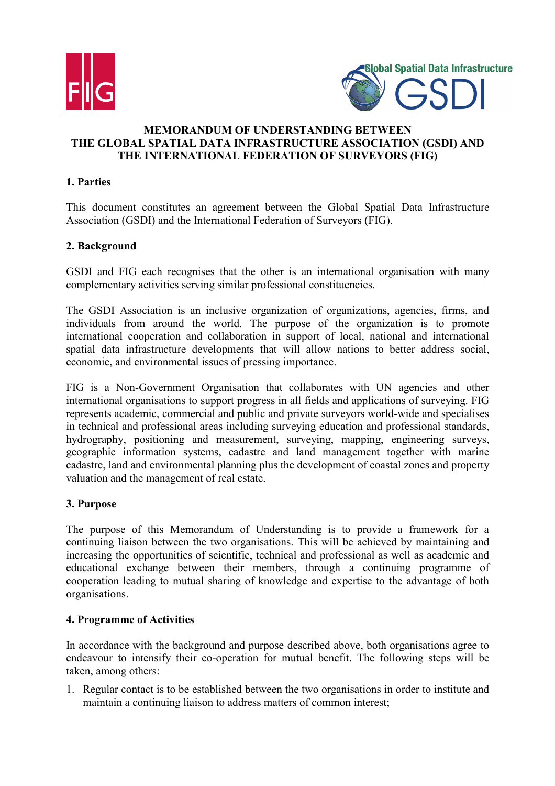



# **MEMORANDUM OF UNDERSTANDING BETWEEN THE GLOBAL SPATIAL DATA INFRASTRUCTURE ASSOCIATION (GSDI) AND THE INTERNATIONAL FEDERATION OF SURVEYORS (FIG)**

## **1. Parties**

This document constitutes an agreement between the Global Spatial Data Infrastructure Association (GSDI) and the International Federation of Surveyors (FIG).

# **2. Background**

GSDI and FIG each recognises that the other is an international organisation with many complementary activities serving similar professional constituencies.

The GSDI Association is an inclusive organization of organizations, agencies, firms, and individuals from around the world. The purpose of the organization is to promote international cooperation and collaboration in support of local, national and international spatial data infrastructure developments that will allow nations to better address social, economic, and environmental issues of pressing importance.

FIG is a Non-Government Organisation that collaborates with UN agencies and other international organisations to support progress in all fields and applications of surveying. FIG represents academic, commercial and public and private surveyors world-wide and specialises in technical and professional areas including surveying education and professional standards, hydrography, positioning and measurement, surveying, mapping, engineering surveys, geographic information systems, cadastre and land management together with marine cadastre, land and environmental planning plus the development of coastal zones and property valuation and the management of real estate.

#### **3. Purpose**

The purpose of this Memorandum of Understanding is to provide a framework for a continuing liaison between the two organisations. This will be achieved by maintaining and increasing the opportunities of scientific, technical and professional as well as academic and educational exchange between their members, through a continuing programme of cooperation leading to mutual sharing of knowledge and expertise to the advantage of both organisations.

## **4. Programme of Activities**

In accordance with the background and purpose described above, both organisations agree to endeavour to intensify their co-operation for mutual benefit. The following steps will be taken, among others:

1. Regular contact is to be established between the two organisations in order to institute and maintain a continuing liaison to address matters of common interest;